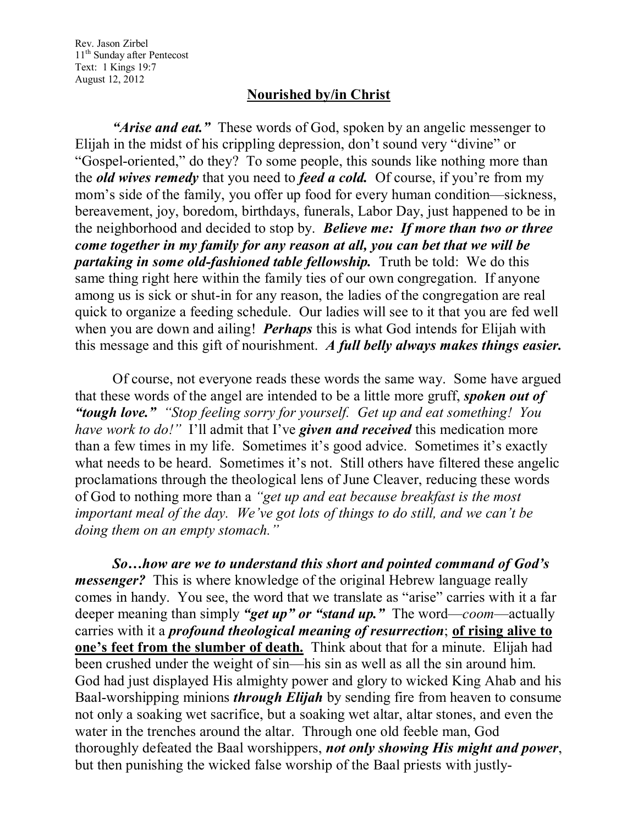Rev. Jason Zirbel 11<sup>th</sup> Sunday after Pentecost Text: 1 Kings 19:7 August 12, 2012

## **Nourished by/in Christ**

*"Arise and eat."* These words of God, spoken by an angelic messenger to Elijah in the midst of his crippling depression, don't sound very "divine" or "Gospel-oriented," do they? To some people, this sounds like nothing more than the *old wives remedy* that you need to *feed a cold.* Of course, if you're from my mom's side of the family, you offer up food for every human condition—sickness, bereavement, joy, boredom, birthdays, funerals, Labor Day, just happened to be in the neighborhood and decided to stop by. *Believe me: If more than two or three come together in my family for any reason at all, you can bet that we will be partaking in some old-fashioned table fellowship.* Truth be told: We do this same thing right here within the family ties of our own congregation. If anyone among us is sick or shut-in for any reason, the ladies of the congregation are real quick to organize a feeding schedule. Our ladies will see to it that you are fed well when you are down and ailing! *Perhaps* this is what God intends for Elijah with this message and this gift of nourishment. *A full belly always makes things easier.*

Of course, not everyone reads these words the same way. Some have argued that these words of the angel are intended to be a little more gruff, *spoken out of "tough love." "Stop feeling sorry for yourself. Get up and eat something! You have work to do!"* I'll admit that I've *given and received* this medication more than a few times in my life. Sometimes it's good advice. Sometimes it's exactly what needs to be heard. Sometimes it's not. Still others have filtered these angelic proclamations through the theological lens of June Cleaver, reducing these words of God to nothing more than a *"get up and eat because breakfast is the most important meal of the day. We've got lots of things to do still, and we can't be doing them on an empty stomach."*

*So…how are we to understand this short and pointed command of God's messenger?* This is where knowledge of the original Hebrew language really comes in handy. You see, the word that we translate as "arise" carries with it a far deeper meaning than simply *"get up" or "stand up."* The word—*coom*—actually carries with it a *profound theological meaning of resurrection*; **of rising alive to one's feet from the slumber of death.** Think about that for a minute. Elijah had been crushed under the weight of sin—his sin as well as all the sin around him. God had just displayed His almighty power and glory to wicked King Ahab and his Baal-worshipping minions *through Elijah* by sending fire from heaven to consume not only a soaking wet sacrifice, but a soaking wet altar, altar stones, and even the water in the trenches around the altar. Through one old feeble man, God thoroughly defeated the Baal worshippers, *not only showing His might and power*, but then punishing the wicked false worship of the Baal priests with justly-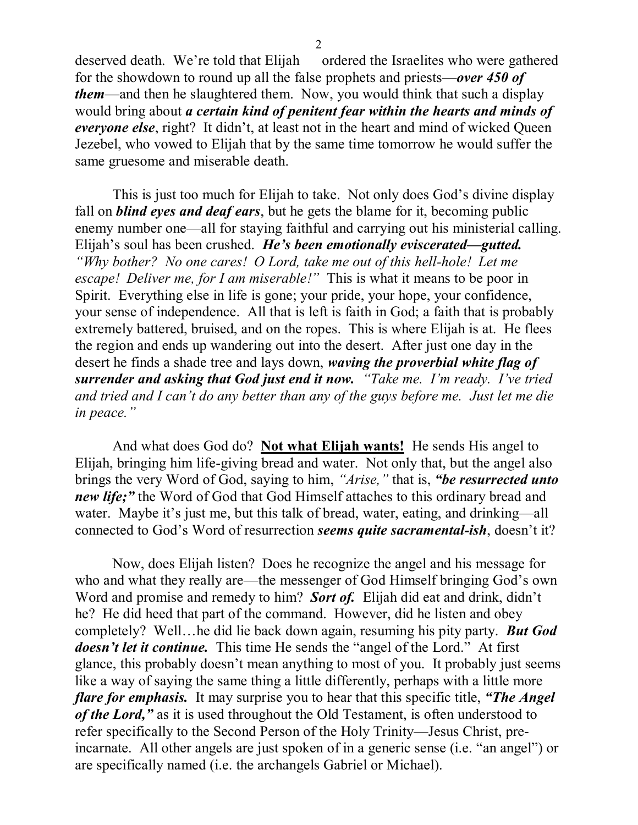deserved death. We're told that Elijah ordered the Israelites who were gathered for the showdown to round up all the false prophets and priests—*over 450 of them*—and then he slaughtered them. Now, you would think that such a display would bring about *a certain kind of penitent fear within the hearts and minds of everyone else*, right? It didn't, at least not in the heart and mind of wicked Queen Jezebel, who vowed to Elijah that by the same time tomorrow he would suffer the same gruesome and miserable death.

This is just too much for Elijah to take. Not only does God's divine display fall on *blind eyes and deaf ears*, but he gets the blame for it, becoming public enemy number one—all for staying faithful and carrying out his ministerial calling. Elijah's soul has been crushed. *He's been emotionally eviscerated—gutted. "Why bother? No one cares! O Lord, take me out of this hell-hole! Let me escape! Deliver me, for I am miserable!"* This is what it means to be poor in Spirit. Everything else in life is gone; your pride, your hope, your confidence, your sense of independence. All that is left is faith in God; a faith that is probably extremely battered, bruised, and on the ropes. This is where Elijah is at. He flees the region and ends up wandering out into the desert. After just one day in the desert he finds a shade tree and lays down, *waving the proverbial white flag of surrender and asking that God just end it now. "Take me. I'm ready. I've tried and tried and I can't do any better than any of the guys before me. Just let me die in peace."* 

And what does God do? **Not what Elijah wants!** He sends His angel to Elijah, bringing him life-giving bread and water. Not only that, but the angel also brings the very Word of God, saying to him, *"Arise,"* that is, *"be resurrected unto new life;"* the Word of God that God Himself attaches to this ordinary bread and water. Maybe it's just me, but this talk of bread, water, eating, and drinking—all connected to God's Word of resurrection *seems quite sacramental-ish*, doesn't it?

Now, does Elijah listen? Does he recognize the angel and his message for who and what they really are—the messenger of God Himself bringing God's own Word and promise and remedy to him? *Sort of.* Elijah did eat and drink, didn't he? He did heed that part of the command. However, did he listen and obey completely? Well…he did lie back down again, resuming his pity party. *But God doesn't let it continue.* This time He sends the "angel of the Lord." At first glance, this probably doesn't mean anything to most of you. It probably just seems like a way of saying the same thing a little differently, perhaps with a little more *flare for emphasis.* It may surprise you to hear that this specific title, *"The Angel of the Lord,"* as it is used throughout the Old Testament, is often understood to refer specifically to the Second Person of the Holy Trinity—Jesus Christ, preincarnate. All other angels are just spoken of in a generic sense (i.e. "an angel") or are specifically named (i.e. the archangels Gabriel or Michael).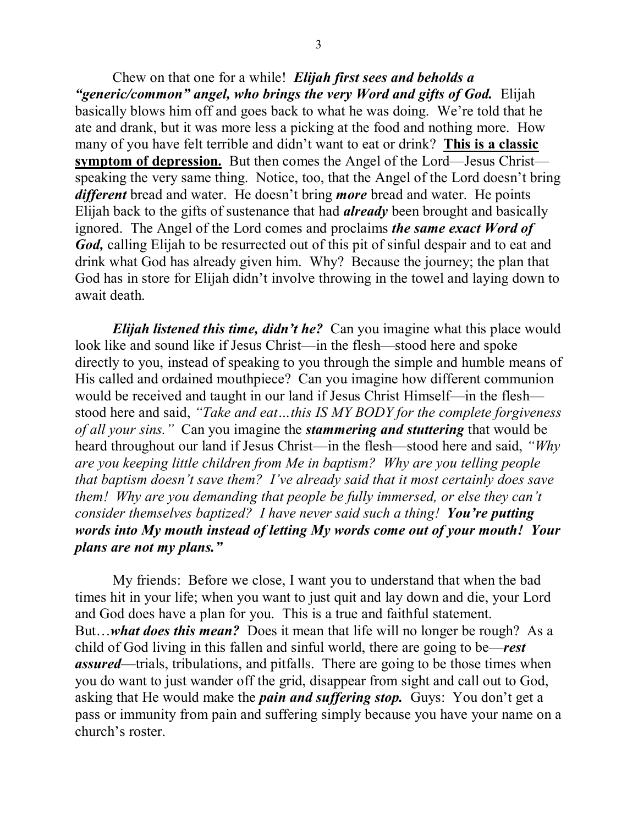Chew on that one for a while! *Elijah first sees and beholds a "generic/common" angel, who brings the very Word and gifts of God.* Elijah basically blows him off and goes back to what he was doing. We're told that he ate and drank, but it was more less a picking at the food and nothing more. How many of you have felt terrible and didn't want to eat or drink? **This is a classic symptom of depression.** But then comes the Angel of the Lord—Jesus Christ speaking the very same thing. Notice, too, that the Angel of the Lord doesn't bring *different* bread and water. He doesn't bring *more* bread and water. He points Elijah back to the gifts of sustenance that had *already* been brought and basically ignored. The Angel of the Lord comes and proclaims *the same exact Word of God,* calling Elijah to be resurrected out of this pit of sinful despair and to eat and drink what God has already given him. Why? Because the journey; the plan that God has in store for Elijah didn't involve throwing in the towel and laying down to await death.

*Elijah listened this time, didn't he?* Can you imagine what this place would look like and sound like if Jesus Christ—in the flesh—stood here and spoke directly to you, instead of speaking to you through the simple and humble means of His called and ordained mouthpiece? Can you imagine how different communion would be received and taught in our land if Jesus Christ Himself—in the flesh stood here and said, *"Take and eat…this IS MY BODY for the complete forgiveness of all your sins."* Can you imagine the *stammering and stuttering* that would be heard throughout our land if Jesus Christ—in the flesh—stood here and said, *"Why are you keeping little children from Me in baptism? Why are you telling people that baptism doesn't save them? I've already said that it most certainly does save them! Why are you demanding that people be fully immersed, or else they can't consider themselves baptized? I have never said such a thing! You're putting words into My mouth instead of letting My words come out of your mouth! Your plans are not my plans."*

My friends: Before we close, I want you to understand that when the bad times hit in your life; when you want to just quit and lay down and die, your Lord and God does have a plan for you. This is a true and faithful statement. But…*what does this mean?* Does it mean that life will no longer be rough? As a child of God living in this fallen and sinful world, there are going to be—*rest assured*—trials, tribulations, and pitfalls. There are going to be those times when you do want to just wander off the grid, disappear from sight and call out to God, asking that He would make the *pain and suffering stop.* Guys: You don't get a pass or immunity from pain and suffering simply because you have your name on a church's roster.